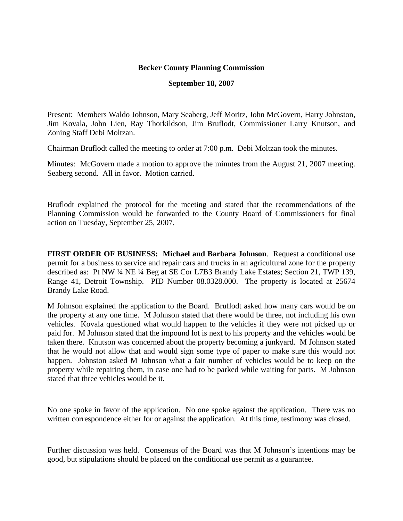## **Becker County Planning Commission**

## **September 18, 2007**

Present: Members Waldo Johnson, Mary Seaberg, Jeff Moritz, John McGovern, Harry Johnston, Jim Kovala, John Lien, Ray Thorkildson, Jim Bruflodt, Commissioner Larry Knutson, and Zoning Staff Debi Moltzan.

Chairman Bruflodt called the meeting to order at 7:00 p.m. Debi Moltzan took the minutes.

Minutes: McGovern made a motion to approve the minutes from the August 21, 2007 meeting. Seaberg second. All in favor. Motion carried.

Bruflodt explained the protocol for the meeting and stated that the recommendations of the Planning Commission would be forwarded to the County Board of Commissioners for final action on Tuesday, September 25, 2007.

**FIRST ORDER OF BUSINESS: Michael and Barbara Johnson**. Request a conditional use permit for a business to service and repair cars and trucks in an agricultural zone for the property described as: Pt NW ¼ NE ¼ Beg at SE Cor L7B3 Brandy Lake Estates; Section 21, TWP 139, Range 41, Detroit Township. PID Number 08.0328.000. The property is located at 25674 Brandy Lake Road.

M Johnson explained the application to the Board. Bruflodt asked how many cars would be on the property at any one time. M Johnson stated that there would be three, not including his own vehicles. Kovala questioned what would happen to the vehicles if they were not picked up or paid for. M Johnson stated that the impound lot is next to his property and the vehicles would be taken there. Knutson was concerned about the property becoming a junkyard. M Johnson stated that he would not allow that and would sign some type of paper to make sure this would not happen. Johnston asked M Johnson what a fair number of vehicles would be to keep on the property while repairing them, in case one had to be parked while waiting for parts. M Johnson stated that three vehicles would be it.

No one spoke in favor of the application. No one spoke against the application. There was no written correspondence either for or against the application. At this time, testimony was closed.

Further discussion was held. Consensus of the Board was that M Johnson's intentions may be good, but stipulations should be placed on the conditional use permit as a guarantee.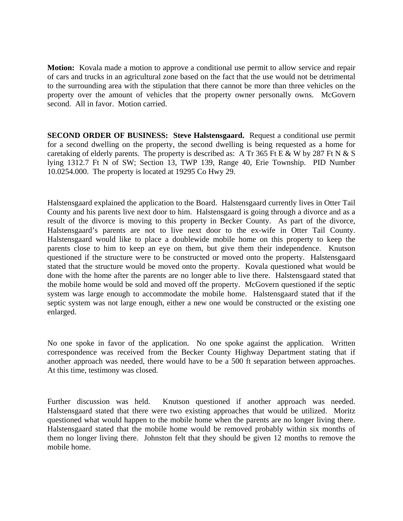**Motion:** Kovala made a motion to approve a conditional use permit to allow service and repair of cars and trucks in an agricultural zone based on the fact that the use would not be detrimental to the surrounding area with the stipulation that there cannot be more than three vehicles on the property over the amount of vehicles that the property owner personally owns. McGovern second. All in favor. Motion carried.

**SECOND ORDER OF BUSINESS: Steve Halstensgaard.** Request a conditional use permit for a second dwelling on the property, the second dwelling is being requested as a home for caretaking of elderly parents. The property is described as: A Tr 365 Ft E & W by 287 Ft N & S lying 1312.7 Ft N of SW; Section 13, TWP 139, Range 40, Erie Township. PID Number 10.0254.000. The property is located at 19295 Co Hwy 29.

Halstensgaard explained the application to the Board. Halstensgaard currently lives in Otter Tail County and his parents live next door to him. Halstensgaard is going through a divorce and as a result of the divorce is moving to this property in Becker County. As part of the divorce, Halstensgaard's parents are not to live next door to the ex-wife in Otter Tail County. Halstensgaard would like to place a doublewide mobile home on this property to keep the parents close to him to keep an eye on them, but give them their independence. Knutson questioned if the structure were to be constructed or moved onto the property. Halstensgaard stated that the structure would be moved onto the property. Kovala questioned what would be done with the home after the parents are no longer able to live there. Halstensgaard stated that the mobile home would be sold and moved off the property. McGovern questioned if the septic system was large enough to accommodate the mobile home. Halstensgaard stated that if the septic system was not large enough, either a new one would be constructed or the existing one enlarged.

No one spoke in favor of the application. No one spoke against the application. Written correspondence was received from the Becker County Highway Department stating that if another approach was needed, there would have to be a 500 ft separation between approaches. At this time, testimony was closed.

Further discussion was held. Knutson questioned if another approach was needed. Halstensgaard stated that there were two existing approaches that would be utilized. Moritz questioned what would happen to the mobile home when the parents are no longer living there. Halstensgaard stated that the mobile home would be removed probably within six months of them no longer living there. Johnston felt that they should be given 12 months to remove the mobile home.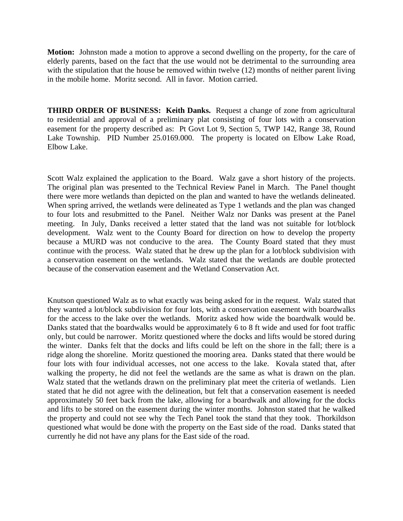**Motion:** Johnston made a motion to approve a second dwelling on the property, for the care of elderly parents, based on the fact that the use would not be detrimental to the surrounding area with the stipulation that the house be removed within twelve (12) months of neither parent living in the mobile home. Moritz second. All in favor. Motion carried.

**THIRD ORDER OF BUSINESS: Keith Danks.** Request a change of zone from agricultural to residential and approval of a preliminary plat consisting of four lots with a conservation easement for the property described as: Pt Govt Lot 9, Section 5, TWP 142, Range 38, Round Lake Township. PID Number 25.0169.000. The property is located on Elbow Lake Road, Elbow Lake.

Scott Walz explained the application to the Board. Walz gave a short history of the projects. The original plan was presented to the Technical Review Panel in March. The Panel thought there were more wetlands than depicted on the plan and wanted to have the wetlands delineated. When spring arrived, the wetlands were delineated as Type 1 wetlands and the plan was changed to four lots and resubmitted to the Panel. Neither Walz nor Danks was present at the Panel meeting. In July, Danks received a letter stated that the land was not suitable for lot/block development. Walz went to the County Board for direction on how to develop the property because a MURD was not conducive to the area. The County Board stated that they must continue with the process. Walz stated that he drew up the plan for a lot/block subdivision with a conservation easement on the wetlands. Walz stated that the wetlands are double protected because of the conservation easement and the Wetland Conservation Act.

Knutson questioned Walz as to what exactly was being asked for in the request. Walz stated that they wanted a lot/block subdivision for four lots, with a conservation easement with boardwalks for the access to the lake over the wetlands. Moritz asked how wide the boardwalk would be. Danks stated that the boardwalks would be approximately 6 to 8 ft wide and used for foot traffic only, but could be narrower. Moritz questioned where the docks and lifts would be stored during the winter. Danks felt that the docks and lifts could be left on the shore in the fall; there is a ridge along the shoreline. Moritz questioned the mooring area. Danks stated that there would be four lots with four individual accesses, not one access to the lake. Kovala stated that, after walking the property, he did not feel the wetlands are the same as what is drawn on the plan. Walz stated that the wetlands drawn on the preliminary plat meet the criteria of wetlands. Lien stated that he did not agree with the delineation, but felt that a conservation easement is needed approximately 50 feet back from the lake, allowing for a boardwalk and allowing for the docks and lifts to be stored on the easement during the winter months. Johnston stated that he walked the property and could not see why the Tech Panel took the stand that they took. Thorkildson questioned what would be done with the property on the East side of the road. Danks stated that currently he did not have any plans for the East side of the road.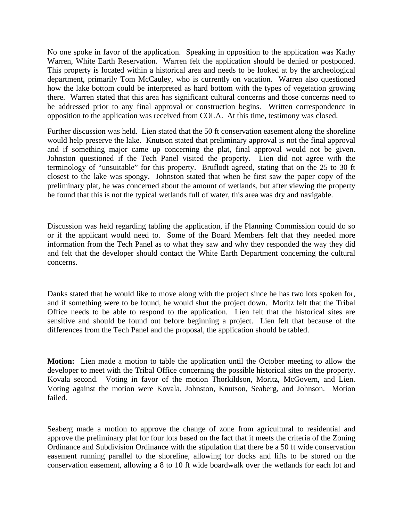No one spoke in favor of the application. Speaking in opposition to the application was Kathy Warren, White Earth Reservation. Warren felt the application should be denied or postponed. This property is located within a historical area and needs to be looked at by the archeological department, primarily Tom McCauley, who is currently on vacation. Warren also questioned how the lake bottom could be interpreted as hard bottom with the types of vegetation growing there. Warren stated that this area has significant cultural concerns and those concerns need to be addressed prior to any final approval or construction begins. Written correspondence in opposition to the application was received from COLA. At this time, testimony was closed.

Further discussion was held. Lien stated that the 50 ft conservation easement along the shoreline would help preserve the lake. Knutson stated that preliminary approval is not the final approval and if something major came up concerning the plat, final approval would not be given. Johnston questioned if the Tech Panel visited the property. Lien did not agree with the terminology of "unsuitable" for this property. Bruflodt agreed, stating that on the 25 to 30 ft closest to the lake was spongy. Johnston stated that when he first saw the paper copy of the preliminary plat, he was concerned about the amount of wetlands, but after viewing the property he found that this is not the typical wetlands full of water, this area was dry and navigable.

Discussion was held regarding tabling the application, if the Planning Commission could do so or if the applicant would need to. Some of the Board Members felt that they needed more information from the Tech Panel as to what they saw and why they responded the way they did and felt that the developer should contact the White Earth Department concerning the cultural concerns.

Danks stated that he would like to move along with the project since he has two lots spoken for, and if something were to be found, he would shut the project down. Moritz felt that the Tribal Office needs to be able to respond to the application. Lien felt that the historical sites are sensitive and should be found out before beginning a project. Lien felt that because of the differences from the Tech Panel and the proposal, the application should be tabled.

**Motion:** Lien made a motion to table the application until the October meeting to allow the developer to meet with the Tribal Office concerning the possible historical sites on the property. Kovala second. Voting in favor of the motion Thorkildson, Moritz, McGovern, and Lien. Voting against the motion were Kovala, Johnston, Knutson, Seaberg, and Johnson. Motion failed.

Seaberg made a motion to approve the change of zone from agricultural to residential and approve the preliminary plat for four lots based on the fact that it meets the criteria of the Zoning Ordinance and Subdivision Ordinance with the stipulation that there be a 50 ft wide conservation easement running parallel to the shoreline, allowing for docks and lifts to be stored on the conservation easement, allowing a 8 to 10 ft wide boardwalk over the wetlands for each lot and